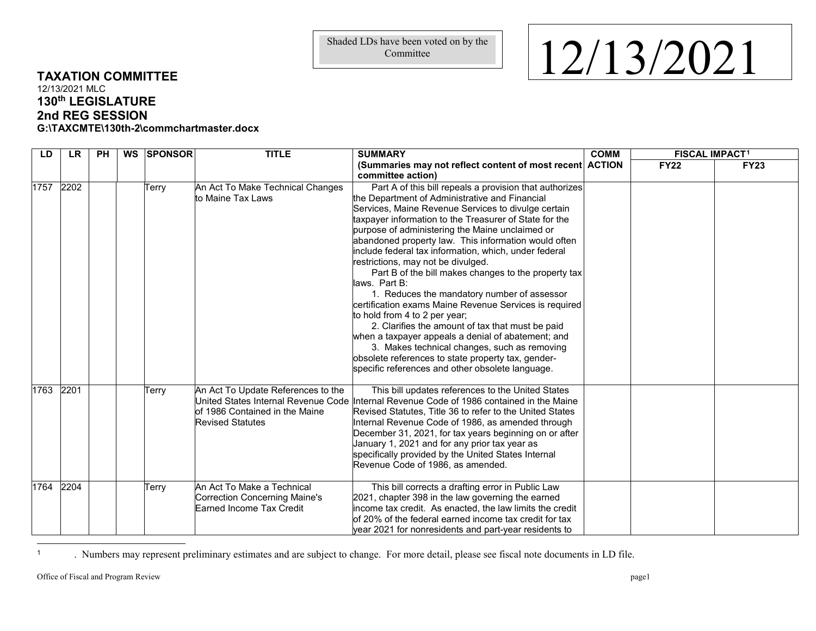Committee

## **TAXATION COMMITTEE**

12/13/2021 MLC **130th LEGISLATURE 2nd REG SESSION G:\TAXCMTE\130th-2\commchartmaster.docx**

**LD LR PH WS SPONSOR TITLE SUMMARY (Summaries may not reflect content of most recent ACTION committee action) COMM FISCAL IMPACT[1](#page-0-0) FY22 FY23** 1757 2202 | Terry An Act To Make Technical Changes to Maine Tax Laws Part A of this bill repeals a provision that authorizes the Department of Administrative and Financial Services, Maine Revenue Services to divulge certain taxpayer information to the Treasurer of State for the purpose of administering the Maine unclaimed or abandoned property law. This information would often include federal tax information, which, under federal restrictions, may not be divulged. Part B of the bill makes changes to the property tax laws. Part B: 1. Reduces the mandatory number of assessor certification exams Maine Revenue Services is required to hold from 4 to 2 per year; 2. Clarifies the amount of tax that must be paid when a taxpayer appeals a denial of abatement; and 3. Makes technical changes, such as removing obsolete references to state property tax, genderspecific references and other obsolete language. 1763 2201 **Terry** An Act To Update References to the United States Internal Revenue Code of 1986 Contained in the Maine Revised Statutes This bill updates references to the United States Internal Revenue Code of 1986 contained in the Maine Revised Statutes, Title 36 to refer to the United States Internal Revenue Code of 1986, as amended through December 31, 2021, for tax years beginning on or after January 1, 2021 and for any prior tax year as specifically provided by the United States Internal Revenue Code of 1986, as amended. 1764 2204 Terry An Act To Make a Technical Correction Concerning Maine's Earned Income Tax Credit This bill corrects a drafting error in Public Law 2021, chapter 398 in the law governing the earned income tax credit. As enacted, the law limits the credit of 20% of the federal earned income tax credit for tax year 2021 for nonresidents and part-year residents to

<sup>1</sup> . Numbers may represent preliminary estimates and are subject to change. For more detail, please see fiscal note documents in LD file.

 $\overline{a}$ 

## <span id="page-0-0"></span>Shaded LDs have been voted on by the  $12/13/2021$